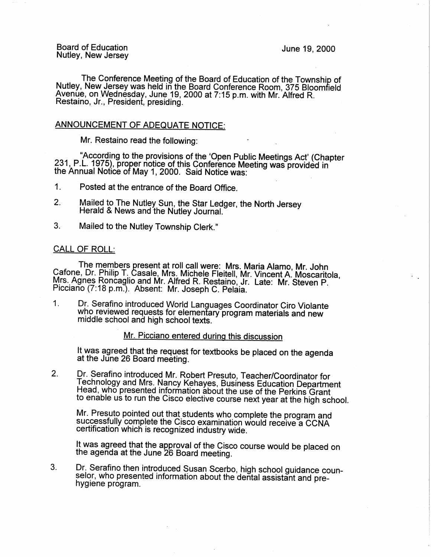Board of Education Nutley, New Jersey

June 19, 2000

The Conference Meeting of the Board of Education of the Township of Nutley, New Jersey was held in the Board Conference Room, 375 Bloomfield Avenue, on Wednesday, June 19, 2000 at 7:15 p.m. with Mr. Alfred R. Restaino, Jr., President, presiding.

# ANNOUNCEMENT OF ADEQUATE NOTICE:

Mr. Restaino read the following:

"According to the provisions of the 'Open Public Meetings Act' (Chapter 231, P.L. 1975}, proper notice of this Conference Meeting was provided in the Annual Notice of May 1, 2000. Said Notice was: .

1. Posted at the entrance of the Board Office.

- 2. Mailed to The Nutley Sun, the Star Ledger, the North Jersey Herald & News and the Nutley Journal.
- 3. Mailed to the Nutley Township Clerk."

# CALL OF ROLL:

The members present at roll call were: Mrs. **Maria** Alamo, Mr. John Catone, Dr. Philip T. Casale, Mrs. Michele Fleitell, Mr. Vincent A. Moscaritola, Mrs. Agnes Roncaglio and Mr. Alfred R. Restaino, Jr. Late: Mr. Steven P. Picciano (7:18 p.m.). Absent: Mr. Joseph C. Pelaia.

1. Dr. Serafino introduced World Languages Coordinator Ciro Violante who reviewed requests for elementary program materials and new middle school and high school texts.

Mr. Picciano entered during this discussion

It was agreed that the request for textbooks be placed on the agenda at the June 26 Board meeting.

2. Dr. Serafino introduced Mr. Robert Presuto, Teacher/Coordinator for Technology and Mrs. Nancy Kehayes, Business Education Department Head, who presented information about the use of the Perkins Grant to enable us to run the Cisco elective course next year at the high school.

Mr. Presuto pointed out that students who complete the program and successfully complete the Cisco examination would receive a CCNA certification which is recognized industry wide.

It was agreed that the approval of the Cisco course would be placed on the agenda at the June 26 Board meeting.

3. Dr. Serafino then introduced Susan Scerbo, high school guidance counselor, who presented information about the dental assistant and pre- hygiene program.